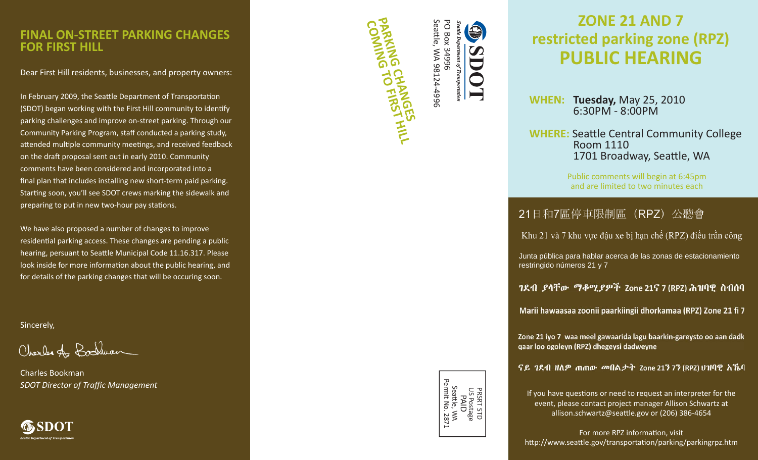### **FINAL ON-STREET PARKING CHANGESFOR FIRST HILL**

Dear First Hill residents, businesses, and property owners:

In February 2009, the Seattle Department of Transportation (SDOT) began working with the First Hill community to iden ti fy parking challenges and improve on-street parking. Through our Community Parking Program, sta ff conducted a parking study, attended multiple community meetings, and received feedback on the dra ft proposal sent out in early 2010. Community comments have been considered and incorporated into a final plan that includes installing new short-term paid parking. Starting soon, you'll see SDOT crews marking the sidewalk and preparing to put in new two-hour pay stations.

We have also proposed a number of changes to improve residential parking access. These changes are pending a public hearing, persuant to Seattle Municipal Code 11.16.317. Please look inside for more information about the public hearing, and for details of the parking changes that will be occuring soon.

Sincerely,

Charles Az Boshwan

Charles Bookman*SDOT Director of Traffi c Management*



**COMING TO FIRST HILL PARKING CHANGES** Seattle, WA 98124-4996 **PO Box 34996** PO Box 34996 tt le, WA 98124-4996

9

CO

# **ZONE 21 AND 7restricted parking zone (RPZ) PUBLIC HEARING**

**WHEN: Tuesday,** May 25, 2010 6:30PM - 8:00PM

**WHERE:** Seattle Central Community College Room 11101701 Broadway, Seattle, WA

> Public comments will begin at 6:45pm and are limited to two minutes each

# 21日和7區停車限制區 (RPZ) 公聽會

Khu 21 và 7 khu vực đậu xe bị hạn chế (RPZ) điều trần công

Junta pública para hablar acerca de las zonas de estacionamiento restringido números 21 y 7

ገደብ ይሳቸው ማቆሚይዎች Zone 21ና 7 (RPZ) ሕዝባዊ ስብሰባ

Marii hawaasaa zoonii paarkiingii dhorkamaa (RPZ) Zone 21 fi 7

Zone 21 iyo 7 waa meel gawaarida lagu baarkin-gareysto oo aan dadk qaar loo ogoleyn (RPZ) dhegeysi dadweyne

ናይ ገደብ ዘለዎ ጠጠው መበልታት Zone 21ን 7ን (RPZ) ሀዝባዊ አኼባ

If you have questions or need to request an interpreter for the event, please contact project manager Allison Schwartz at allison.schwartz@sea tt le.gov or (206) 386-4654

For more RPZ information, visit http://www.seattle.gov/transportation/parking/parkingrpz.htm